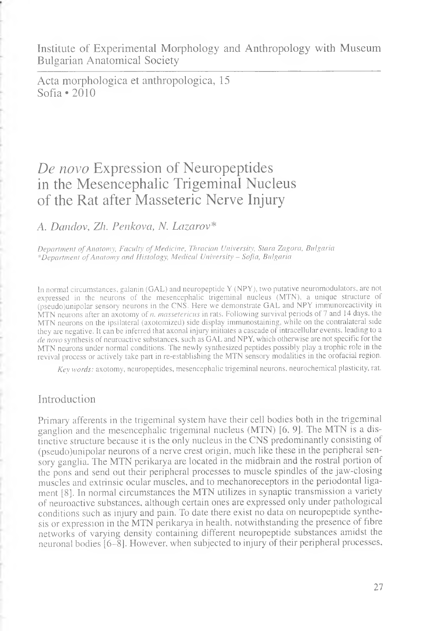Institute of Experimental Morphology and Anthropology with Museum Bulgarian Anatomical Society

Acta morphologica et anthropologica, 15 Sofia \*2010

# *De novo* Expression of Neuropeptides in the Mesencephalic Trigeminal Nucleus of the Rat after Masseteric Nerve Injury

*A. Dandov, Zh. Penkova, N. Lazarov\**

*Department of Anatomy, Faculty of Medicine, Thracian University, Stara Zagora, Bulgaria \*Department of Anatomy and Histology, Medical University* - *Sofia, Bulgaria*

In normal circumstances, galanin (GAL) and neuropeptide Y (NPY), two putative neuromodulators, are not expressed in the neurons of the mesencephalic trigeminal nucleus (MTN), a unique structure of (pseudo)unipolar sensory neurons in the CNS. Here we demonstrate GAL and NPY immunoreactivity in MTN neurons after an axotomy of *n. massetericus* in rats. Following survival periods of 7 and 14 days, the MTN neurons on the ipsilateral (axotomized) side display immunostaining, while on the contralateral side they are negative. It can be inferred that axonal injury initiates a cascade of intracellular events, leading to a *de novo* synthesis of neuroactive substances, such as GAL and NPY, which otherwise are not specific for the MTN neurons under normal conditions. The newly synthesized peptides possibly play a trophic role in the revival process or actively take part in re-establishing the MTN sensory modalities in the orofacial region.

*Key words:* axotomy, neuropeptides, mesencephalic trigeminal neurons, neurochemical plasticity, rat.

### Introduction

Primary afferents in the trigeminal system have their cell bodies both in the trigeminal ganglion and the mesencephalic trigeminal nucleus (MTN) [6, 9]. The MTN is a distinctive structure because it is the only nucleus in the CNS predominantly consisting of (pseudo)unipolar neurons of a nerve crest origin, much like these in the peripheral sensory ganglia. The MTN perikarya are located in the midbrain and the rostral portion of the pons and send out their peripheral processes to muscle spindles of the jaw-closing muscles and extrinsic ocular muscles, and to mechanoreceptors in the periodontal ligament [8]. In normal circumstances the MTN utilizes in synaptic transmission a variety of neuroactive substances, although certain ones are expressed only under pathological conditions such as injury and pain. To date there exist no data on neuropeptide synthesis or expression in the MTN perikarya in health, notwithstanding the presence of fibre networks of varying density containing different neuropeptide substances amidst the neuronal bodies [6-8]. However, when subjected to injury of their peripheral processes,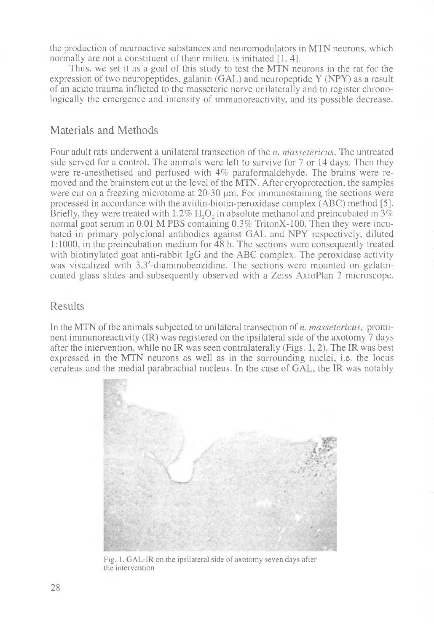the production of neuroactive substances and neuromodulators in MTN neurons, which normally are not a constituent of their milieu, is initiated [1, 4].

Thus, we set it as a goal of this study to test the MTN neurons in the rat for the expression of two neuropeptides, galanin (GAL) and neuropeptide Y (NPY) as a result of an acute trauma inflicted to the masseteric nerve unilaterally and to register chronologically the emergence and intensity of immunoreactivity, and its possible decrease.

# Materials and Methods

Four adult rats underwent a unilateral transection of the *n. massetericus.* The untreated side served for a control. The animals were left to survive for 7 or 14 days. Then they were re-anesthetised and perfused with 4% paraformaldehyde. The brains were removed and the brainstem cut at the level of the MTN. After cryoprotection, the samples were cut on a freezing microtome at  $20-30 \mu m$ . For immunostaining the sections were processed in accordance with the avidin-biotin-peroxidase complex (ABC) method [5]. Briefly, they were treated with 1.2% H<sub>2</sub>O<sub>2</sub> in absolute methanol and preincubated in  $3\%$ normal goat serum in 0.01 M PBS containing 0.3% TritonX-100. Then they were incubated in primary polyclonal antibodies against GAL and NPY respectively, diluted 1:1000, in the preincubation medium for 48 h. The sections were consequently treated with biotinylated goat anti-rabbit IgG and the ABC complex. The peroxidase activity was visualized with 3,3'-diaminobenzidine. The sections were mounted on gelatincoated glass slides and subsequently observed with a Zeiss AxioPlan 2 microscope.

### Results

In the MTN of the animals subjected to unilateral transection of *n. massetericus*, prominent immunoreactivity (IR) was registered on the ipsilateral side of the axotomy 7 days after the intervention, while no IR was seen contralaterally (Figs. 1, 2). The IR was best expressed in the MTN neurons as well as in the surrounding nuclei, i.e. the locus ceruleus and the medial parabrachial nucleus. In the case of GAL, the IR was notably



Fig. 1. GAL-1R on the ipsilateral side of axotomy seven days after the intervention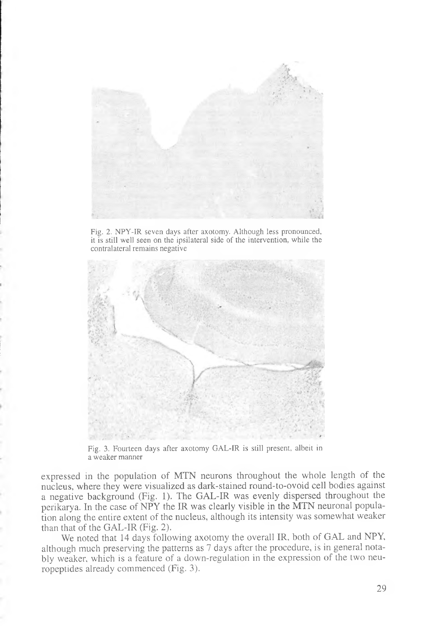

Fig. 2. NPY-IR seven days after axotomy. Although less pronounced, it is still well seen on the ipsilateral side of the intervention, while the contralateral remains negative



Fig. 3. Fourteen days after axotomy GAL-IR is still present, albeit in a weaker manner

expressed in the population of MTN neurons throughout the whole length of the nucleus, where they were visualized as dark-stained round-to-ovoid cell bodies against a negative background (Fig. 1). The GAL-IR was evenly dispersed throughout the perikarya. In the case of NPY the IR was clearly visible in the MTN neuronal population along the entire extent of the nucleus, although its intensity was somewhat weaker than that of the GAL-IR (Fig. 2).

We noted that 14 days following axotomy the overall IR, both of GAL and NPY, although much preserving the patterns as 7 days after the procedure, is in general notably weaker, which is a feature of a down-regulation in the expression of the two neuropeptides already commenced (Fig. 3).